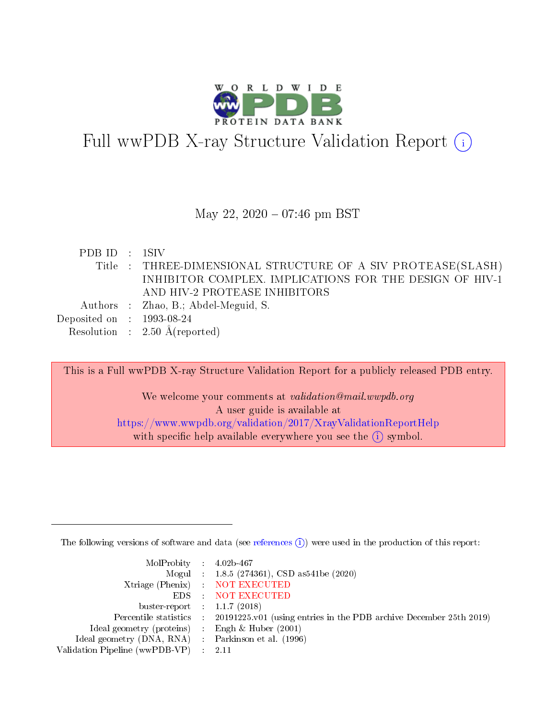

# Full wwPDB X-ray Structure Validation Report  $(i)$

#### May 22, 2020 - 07:46 pm BST

| PDBID : 1SIV                |                                                             |
|-----------------------------|-------------------------------------------------------------|
|                             | Title: THREE-DIMENSIONAL STRUCTURE OF A SIV PROTEASE(SLASH) |
|                             | INHIBITOR COMPLEX. IMPLICATIONS FOR THE DESIGN OF HIV-1     |
|                             | AND HIV-2 PROTEASE INHIBITORS                               |
|                             | Authors : Zhao, B.; Abdel-Meguid, S.                        |
| Deposited on : $1993-08-24$ |                                                             |
|                             | Resolution : $2.50 \text{ Å}$ (reported)                    |

This is a Full wwPDB X-ray Structure Validation Report for a publicly released PDB entry. We welcome your comments at validation@mail.wwpdb.org A user guide is available at <https://www.wwpdb.org/validation/2017/XrayValidationReportHelp> with specific help available everywhere you see the  $(i)$  symbol.

The following versions of software and data (see [references](https://www.wwpdb.org/validation/2017/XrayValidationReportHelp#references)  $(i)$ ) were used in the production of this report:

| MolProbity : $4.02b-467$                            |                                                                                            |
|-----------------------------------------------------|--------------------------------------------------------------------------------------------|
|                                                     | Mogul : $1.8.5$ (274361), CSD as 541be (2020)                                              |
|                                                     | Xtriage (Phenix) NOT EXECUTED                                                              |
|                                                     | EDS : NOT EXECUTED                                                                         |
| buster-report : $1.1.7(2018)$                       |                                                                                            |
|                                                     | Percentile statistics : 20191225.v01 (using entries in the PDB archive December 25th 2019) |
| Ideal geometry (proteins) : Engh $\&$ Huber (2001)  |                                                                                            |
| Ideal geometry (DNA, RNA) : Parkinson et al. (1996) |                                                                                            |
| Validation Pipeline (wwPDB-VP)                      | -2.11                                                                                      |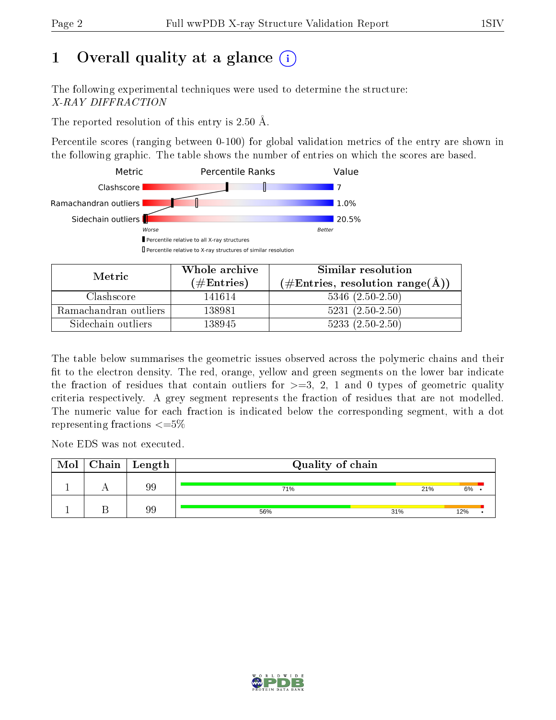# 1 [O](https://www.wwpdb.org/validation/2017/XrayValidationReportHelp#overall_quality)verall quality at a glance  $(i)$

The following experimental techniques were used to determine the structure: X-RAY DIFFRACTION

The reported resolution of this entry is 2.50 Å.

Percentile scores (ranging between 0-100) for global validation metrics of the entry are shown in the following graphic. The table shows the number of entries on which the scores are based.



| Metric                | Whole archive       | Similar resolution                                 |  |  |
|-----------------------|---------------------|----------------------------------------------------|--|--|
|                       | (# $\rm{Entries}$ ) | $(\text{\#Entries, resolution range}(\text{\AA}))$ |  |  |
| Clashscore            | 141614              | $5346$ $(2.50-2.50)$                               |  |  |
| Ramachandran outliers | 138981              | $5231 (2.50 - 2.50)$                               |  |  |
| Sidechain outliers    | 138945              | $5233(2.50-2.50)$                                  |  |  |

The table below summarises the geometric issues observed across the polymeric chains and their fit to the electron density. The red, orange, yellow and green segments on the lower bar indicate the fraction of residues that contain outliers for  $\geq=3$ , 2, 1 and 0 types of geometric quality criteria respectively. A grey segment represents the fraction of residues that are not modelled. The numeric value for each fraction is indicated below the corresponding segment, with a dot representing fractions  $\epsilon = 5\%$ 

Note EDS was not executed.

| Mol | Chain   Length | Quality of chain |     |     |  |  |  |  |
|-----|----------------|------------------|-----|-----|--|--|--|--|
|     | 99             | 71%              | 21% | 6%  |  |  |  |  |
|     | 99             | 56%              | 31% | 12% |  |  |  |  |

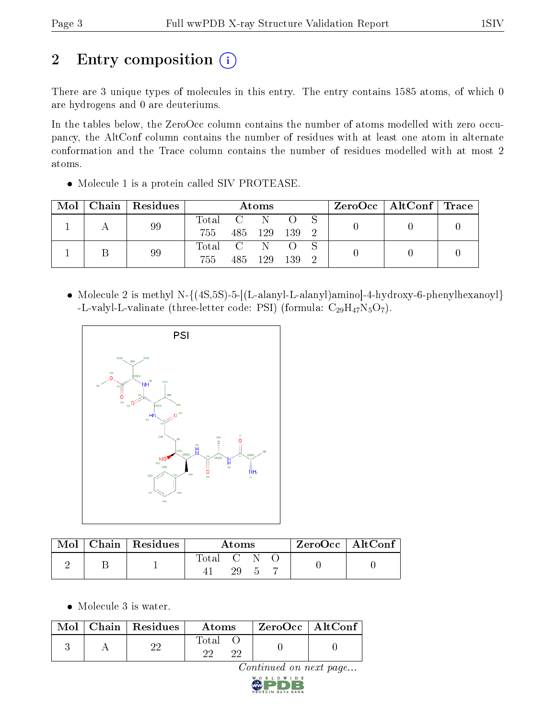# 2 Entry composition  $\left( \cdot \right)$

There are 3 unique types of molecules in this entry. The entry contains 1585 atoms, of which 0 are hydrogens and 0 are deuteriums.

In the tables below, the ZeroOcc column contains the number of atoms modelled with zero occupancy, the AltConf column contains the number of residues with at least one atom in alternate conformation and the Trace column contains the number of residues modelled with at most 2 atoms.

• Molecule 1 is a protein called SIV PROTEASE.

| Mol | Chain | $\mid$ Residues | Atoms           |         |                         |  |  | ZeroOcc   AltConf   Trace |  |
|-----|-------|-----------------|-----------------|---------|-------------------------|--|--|---------------------------|--|
|     | 99    | Total           | $\Box$ C $\Box$ | -N      |                         |  |  |                           |  |
|     |       | 755             |                 | 485 129 | $\degree$ 139 $\degree$ |  |  |                           |  |
|     |       | 99              | Total C         |         | -N                      |  |  |                           |  |
|     |       | 755             | 485             | 129     | - 139                   |  |  |                           |  |

• Molecule 2 is methyl N- $\{(4S, 5S)$ -5- $[(L-alanyl-L-alanyl)$ aminol-4-hydroxy-6-phenylhexanoyl} -L-valyl-L-valinate (three-letter code: PSI) (formula:  $C_{29}H_{47}N_5O_7$ ).



|  | Mol   Chain   Residues | Atoms       |    |  |  | ZeroOcc   AltConf |
|--|------------------------|-------------|----|--|--|-------------------|
|  |                        | Total C N . | 29 |  |  |                   |

• Molecule 3 is water.

|  | Mol   Chain   Residues | Atoms | ZeroOcc   AltConf |
|--|------------------------|-------|-------------------|
|  |                        | Total |                   |

Continued on next page...

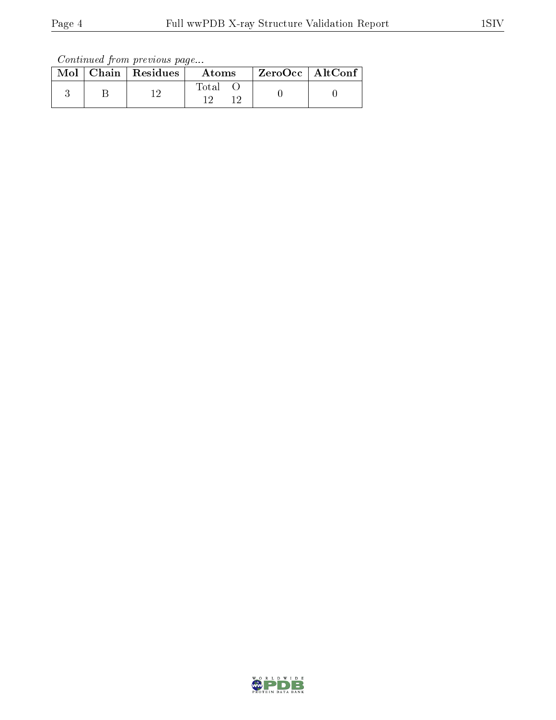Continued from previous page...

|  | Mol   Chain   Residues | Atoms | ZeroOcc   AltConf |  |
|--|------------------------|-------|-------------------|--|
|  |                        | Total |                   |  |

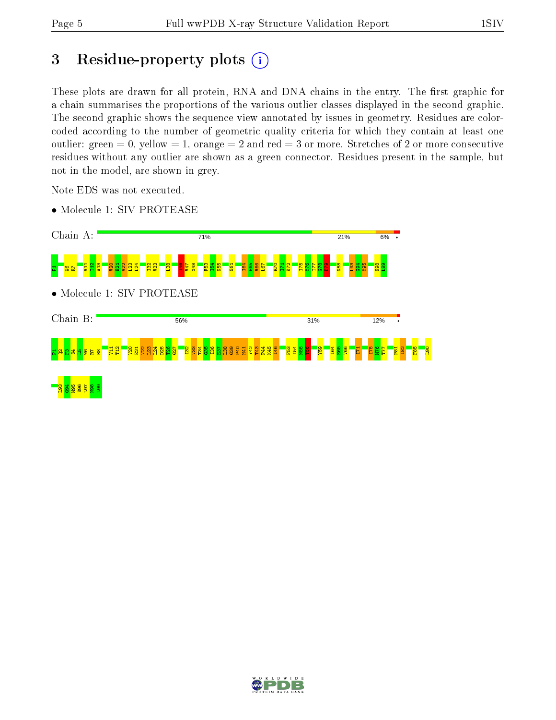# 3 Residue-property plots  $(i)$

These plots are drawn for all protein, RNA and DNA chains in the entry. The first graphic for a chain summarises the proportions of the various outlier classes displayed in the second graphic. The second graphic shows the sequence view annotated by issues in geometry. Residues are colorcoded according to the number of geometric quality criteria for which they contain at least one outlier: green  $= 0$ , yellow  $= 1$ , orange  $= 2$  and red  $= 3$  or more. Stretches of 2 or more consecutive residues without any outlier are shown as a green connector. Residues present in the sample, but not in the model, are shown in grey.

Note EDS was not executed.

• Molecule 1: SIV PROTEASE



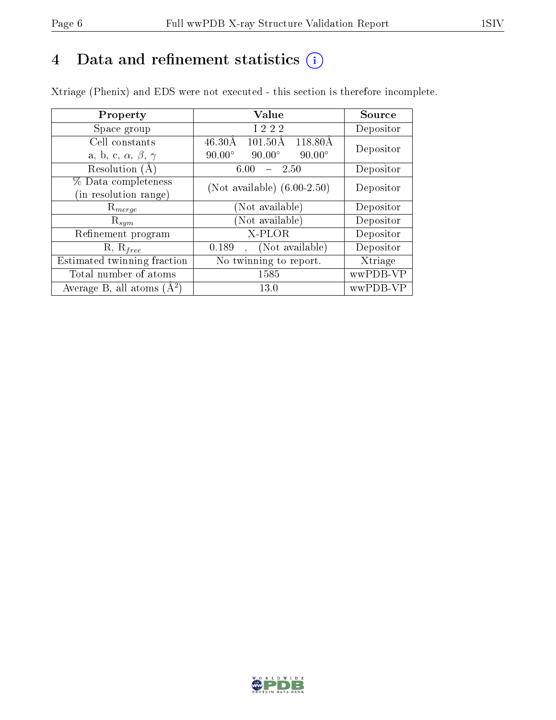# 4 Data and refinement statistics  $(i)$

Xtriage (Phenix) and EDS were not executed - this section is therefore incomplete.

| Property                               | Value                                              | Source    |  |
|----------------------------------------|----------------------------------------------------|-----------|--|
| Space group                            | I 2 2 2                                            | Depositor |  |
| Cell constants                         | $46.30\text{\AA}$<br>$101.50\text{\AA}$<br>118.80Å | Depositor |  |
| a, b, c, $\alpha$ , $\beta$ , $\gamma$ | $90.00^\circ$<br>$90.00^\circ$<br>$90.00^\circ$    |           |  |
| Resolution (A)                         | 6.00<br>2.50                                       | Depositor |  |
| % Data completeness                    | (Not available) $(6.00-2.50)$                      | Depositor |  |
| in resolution range)                   |                                                    |           |  |
| $\mathrm{R}_{merge}$                   | (Not available)                                    | Depositor |  |
| $\mathrm{R}_{sym}$                     | (Not available)                                    | Depositor |  |
| Refinement program                     | X-PLOR                                             | Depositor |  |
| $R, R_{free}$                          | (Not available)<br>0.189                           | Depositor |  |
| Estimated twinning fraction            | No twinning to report.                             | Xtriage   |  |
| Total number of atoms                  | 1585                                               | wwPDB-VP  |  |
| Average B, all atoms $(A^2)$           | 13.0                                               | wwPDB-VP  |  |

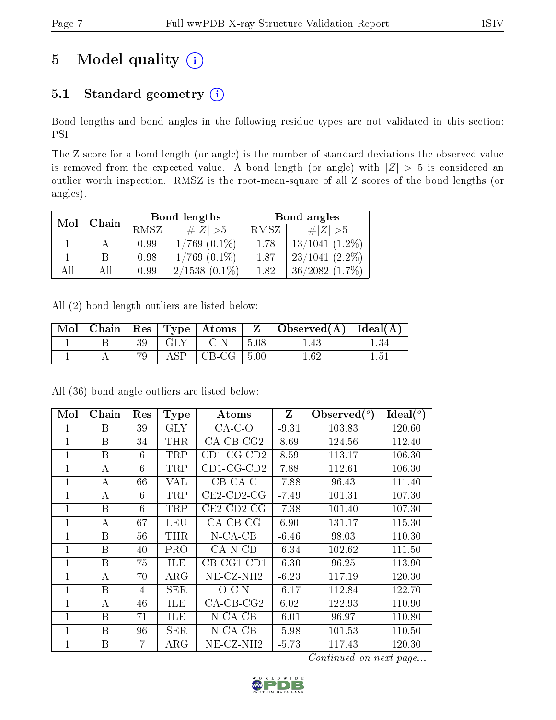# 5 Model quality  $(i)$

## 5.1 Standard geometry (i)

Bond lengths and bond angles in the following residue types are not validated in this section: PSI

The Z score for a bond length (or angle) is the number of standard deviations the observed value is removed from the expected value. A bond length (or angle) with  $|Z| > 5$  is considered an outlier worth inspection. RMSZ is the root-mean-square of all Z scores of the bond lengths (or angles).

| Mol | Chain |      | Bond lengths      | Bond angles |                     |  |
|-----|-------|------|-------------------|-------------|---------------------|--|
|     |       | RMSZ | $\# Z  > 5$       | RMSZ        | # $ Z  > 5$         |  |
|     |       | 0.99 | $1/769$ $(0.1\%)$ | 1.78        | $13/1041$ $(1.2\%)$ |  |
|     |       | 0.98 | $1/769$ $(0.1\%)$ | 1.87        | $23/1041$ $(2.2\%)$ |  |
| AH  | ΑII   | 0.99 | $2/1538(0.1\%)$   | 1.82        | $36/2082$ $(1.7\%)$ |  |

All (2) bond length outliers are listed below:

| Mol |  |                        |                            |                    | $\vert$ Chain $\vert$ Res $\vert$ Type $\vert$ Atoms $\vert$ Z $\vert$ Observed(A) $\vert$ Ideal(A) |  |
|-----|--|------------------------|----------------------------|--------------------|-----------------------------------------------------------------------------------------------------|--|
|     |  | GLY                    | $C-N$                      | $\vert 5.08 \vert$ |                                                                                                     |  |
|     |  | $\operatorname{ASP}{}$ | $\vert$ CB-CG $\vert$ 5.00 |                    | $1.62\,$                                                                                            |  |

| Mol            | Chain | Res            | <b>Type</b> | Atoms         | Z       | Observed( | $\text{Ideal}({}^o)$ |
|----------------|-------|----------------|-------------|---------------|---------|-----------|----------------------|
|                | Β     | 39             | <b>GLY</b>  | $CA-C-O$      | $-9.31$ | 103.83    | 120.60               |
| $\overline{1}$ | B     | 34             | THR         | $CA-CB-CG2$   | 8.69    | 124.56    | 112.40               |
| $\mathbf{1}$   | B     | 6              | TRP         | $CD1$ -CG-CD2 | 8.59    | 113.17    | 106.30               |
| 1              | А     | 6              | TRP         | $CD1-CG-CD2$  | 7.88    | 112.61    | 106.30               |
| 1              | А     | 66             | VAL         | $CB-CA-C$     | $-7.88$ | 96.43     | 111.40               |
| 1              | А     | 6              | TRP         | $CE2$ -CD2-CG | $-7.49$ | 101.31    | 107.30               |
| 1              | B     | 6              | <b>TRP</b>  | $CE2$ -CD2-CG | $-7.38$ | 101.40    | 107.30               |
| 1              | А     | 67             | LEU         | $CA-CB-CG$    | 6.90    | 131.17    | 115.30               |
| 1              | B     | 56             | THR         | $N$ -CA-CB    | $-6.46$ | 98.03     | 110.30               |
| 1              | B     | 40             | <b>PRO</b>  | $CA-N-CD$     | $-6.34$ | 102.62    | 111.50               |
| 1              | B     | 75             | ILE         | $CB-CG1-CD1$  | $-6.30$ | 96.25     | 113.90               |
| 1              | А     | 70             | $\rm{ARG}$  | $NE- CZ-NH2$  | $-6.23$ | 117.19    | 120.30               |
| 1              | B     | $\overline{4}$ | <b>SER</b>  | $O$ -C-N      | $-6.17$ | 112.84    | 122.70               |
| 1              | A     | 46             | <b>ILE</b>  | $CA$ -CB-CG2  | 6.02    | 122.93    | 110.90               |
| 1              | B     | 71             | <b>ILE</b>  | $N$ -CA-CB    | $-6.01$ | 96.97     | 110.80               |
| $\mathbf 1$    | Β     | 96             | <b>SER</b>  | $N$ -CA-CB    | $-5.98$ | 101.53    | 110.50               |
| $\overline{1}$ | B     | 7              | $\rm{ARG}$  | $NE- CZ-NH2$  | $-5.73$ | 117.43    | 120.30               |

All (36) bond angle outliers are listed below:

Continued on next page...

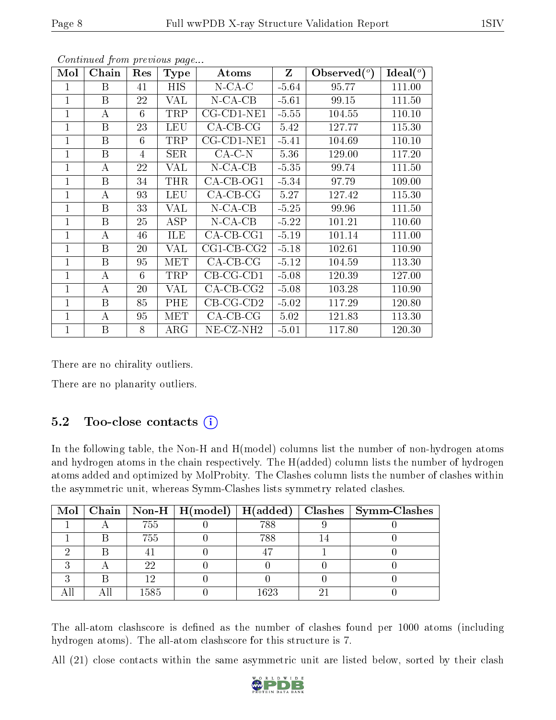| Mol          | Chain | Res | <b>Type</b> | Atoms                 | $Z_{\rm}$ | Observed $(°)$ | $\text{Ideal}({}^o)$ |
|--------------|-------|-----|-------------|-----------------------|-----------|----------------|----------------------|
| 1            | B     | 41  | HIS         | $N$ -CA-C             | $-5.64$   | 95.77          | 111.00               |
| 1            | B     | 22  | VAL         | $N$ -CA-CB            | $-5.61$   | 99.15          | 111.50               |
| $\mathbf{1}$ | А     | 6   | TRP         | $CG$ - $CD1$ - $NE1$  | $-5.55$   | 104.55         | 110.10               |
| 1            | B     | 23  | <b>LEU</b>  | $CA$ -CB-CG           | 5.42      | 127.77         | 115.30               |
| 1            | B     | 6   | TRP         | $CG$ - $CD1$ - $NE1$  | $-5.41$   | 104.69         | 110.10               |
| $\mathbf{1}$ | B     | 4   | <b>SER</b>  | $CA-C-N$              | 5.36      | 129.00         | 117.20               |
| $\mathbf{1}$ | А     | 22  | VAL         | $N$ -CA-CB            | $-5.35$   | 99.74          | 111.50               |
| 1            | B     | 34  | THR         | $CA$ -CB-OG1          | $-5.34$   | 97.79          | 109.00               |
| 1            | А     | 93  | LEU         | $CA$ -CB-CG           | 5.27      | 127.42         | 115.30               |
| $\mathbf 1$  | B     | 33  | VAL         | $N-CA-CB$             | $-5.25$   | 99.96          | 111.50               |
| 1            | B     | 25  | <b>ASP</b>  | $N$ -CA-CB            | $-5.22$   | 101.21         | 110.60               |
| 1            | А     | 46  | <b>ILE</b>  | $CA$ -CB-CG1          | $-5.19$   | 101.14         | 111.00               |
| 1            | B     | 20  | VAL         | $CG1$ - $CB$ - $CG2$  | $-5.18$   | 102.61         | 110.90               |
| $\mathbf{1}$ | B     | 95  | MET         | $CA-CB-CG$            | $-5.12$   | 104.59         | 113.30               |
| 1            | А     | 6   | TRP         | $CB-CG-CD1$           | $-5.08$   | 120.39         | 127.00               |
| $\mathbf{1}$ | А     | 20  | <b>VAL</b>  | $CA$ -CB-CG2          | $-5.08$   | 103.28         | 110.90               |
| $\mathbf 1$  | B     | 85  | PHE         | $CB-CG-CD2$           | $-5.02$   | 117.29         | 120.80               |
| 1            | А     | 95  | MET         | $CA-CB-CG$            | 5.02      | 121.83         | 113.30               |
| 1            | B     | 8   | $\rm{ARG}$  | NE-CZ-NH <sub>2</sub> | $-5.01$   | 117.80         | 120.30               |

Continued from previous page...

There are no chirality outliers.

There are no planarity outliers.

## 5.2 Too-close contacts (i)

In the following table, the Non-H and H(model) columns list the number of non-hydrogen atoms and hydrogen atoms in the chain respectively. The H(added) column lists the number of hydrogen atoms added and optimized by MolProbity. The Clashes column lists the number of clashes within the asymmetric unit, whereas Symm-Clashes lists symmetry related clashes.

|  |      |      | Mol   Chain   Non-H   H(model)   H(added)   Clashes   Symm-Clashes |
|--|------|------|--------------------------------------------------------------------|
|  | 755  | 788  |                                                                    |
|  | 755  | 788  |                                                                    |
|  |      | 47   |                                                                    |
|  | 22   |      |                                                                    |
|  |      |      |                                                                    |
|  | 1585 | 1623 |                                                                    |

The all-atom clashscore is defined as the number of clashes found per 1000 atoms (including hydrogen atoms). The all-atom clashscore for this structure is 7.

All (21) close contacts within the same asymmetric unit are listed below, sorted by their clash

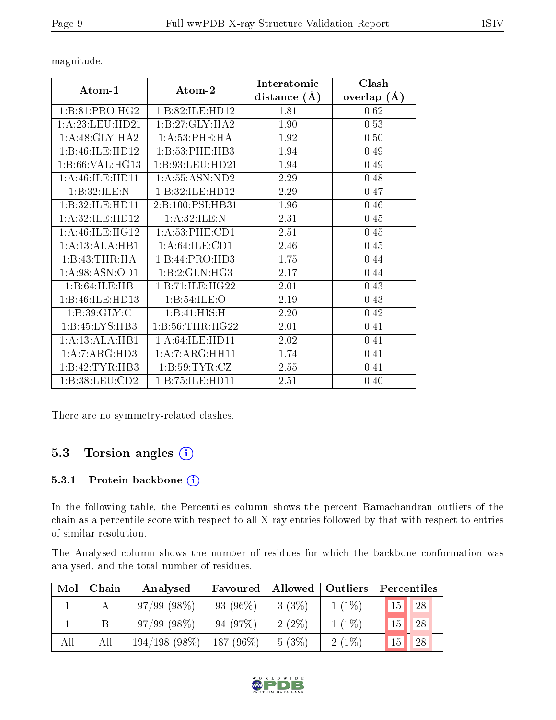distance (Å)

Clash overlap (Å)

Atom-1 Atom-2 Interatomic

1:B:81:PRO:HG2 1:B:82:ILE:HD12 1.81 0.62

1:B:46:ILE:HD13 1:B:54:ILE:O 2.19 0.43 1:B:39:GLY:C | 1:B:41:HIS:H | 2.20 | 0.42  $1:B:45:LYS:HB3$   $1:B:56:THR:HG22$  2.01  $0.41$ 1:A:13:ALA:HB1 1:A:64:ILE:HD11 2.02 0.41 1:A:7:ARG:HD3 | 1:A:7:ARG:HH11 | 1.74 | 0.41 1:B:42:TYR:HB3 | 1:B:59:TYR:CZ | 2.55 | 0.41 1:B:38:LEU:CD2 1:B:75:ILE:HD11 2.51 0.40

| 1: B: 27: GLY: HA2           | $1.90\,$ | 0.53 |
|------------------------------|----------|------|
| 1: A:53:PHE:HA               | 1.92     | 0.50 |
| 1:B:53:PHE:HB3               | 1.94     | 0.49 |
| 1:B:93:LEU:HD21              | 1.94     | 0.49 |
| 1: A: 55: ASN: ND2           | 2.29     | 0.48 |
| 1:B:32:ILE:HD12              | 2.29     | 0.47 |
| 2: B: 100: PSI: HB31         | 1.96     | 0.46 |
| 1: A:32: ILE:N               | 2.31     | 0.45 |
| 1:A:53:PHE:CD1               | 2.51     | 0.45 |
| 1: A:64:ILE:CD1              | 2.46     | 0.45 |
| 1:B:44:PRO:HD3               | 1.75     | 0.44 |
| 1:B:2:GLN:HG3                | 2.17     | 0.44 |
| 1 - R - 71 - II - F - H G 22 | 2.01     | በ 43 |

magnitude.

1:A:23:LEU:HD21 1:A:48:GLY:HA2 1:B:46:ILE:HD12 1:B:66:VAL:HG13 1:A:46:ILE:HD11 1:B:32:ILE:N 1:B:32:ILE:HD11 1:A:32:ILE:HD12 1:A:46:ILE:HG12 1:A:13:ALA:HB1 1:B:43:THR:HA 1:A:98:ASN:OD1 1:B:64:ILE:HB

There are no symmetry-related clashes.

### 5.3 Torsion angles  $(i)$

#### 5.3.1 Protein backbone (i)

In the following table, the Percentiles column shows the percent Ramachandran outliers of the chain as a percentile score with respect to all X-ray entries followed by that with respect to entries of similar resolution.

The Analysed column shows the number of residues for which the backbone conformation was analysed, and the total number of residues.

| Mol | Chain | Analysed        | Favoured    | Allowed  | Outliers |                 | Percentiles |
|-----|-------|-----------------|-------------|----------|----------|-----------------|-------------|
|     |       | 97/99(98%)      | 93 (96\%)   | $3(3\%)$ | $1(1\%)$ | 15 <sup>1</sup> | $\sqrt{28}$ |
|     |       | 97/99(98%)      | 94(97%)     | $2(2\%)$ | $1(1\%)$ | 15              | 28          |
| All | All   | $194/198(98\%)$ | $187(96\%)$ | 5(3%)    | $2(1\%)$ | 15              | 28          |

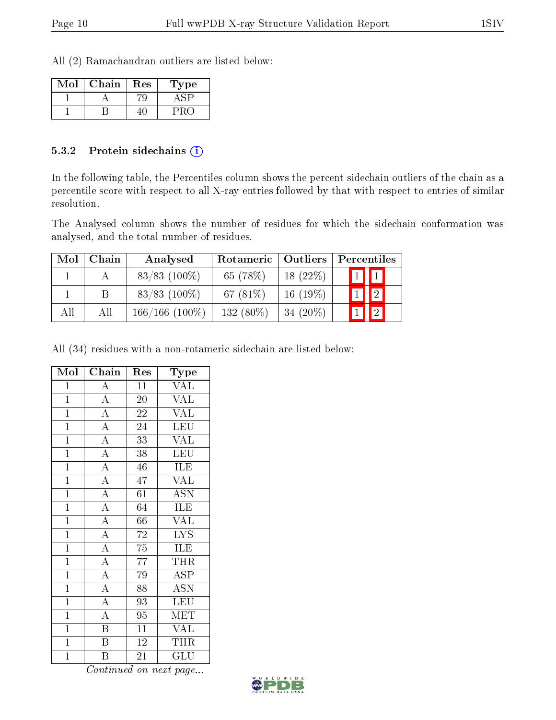All (2) Ramachandran outliers are listed below:

| Mol | Chain | Res | Type |
|-----|-------|-----|------|
|     |       |     |      |
|     |       |     |      |

#### 5.3.2 Protein sidechains  $\left( \widehat{\mathbf{i}} \right)$

In the following table, the Percentiles column shows the percent sidechain outliers of the chain as a percentile score with respect to all X-ray entries followed by that with respect to entries of similar resolution.

The Analysed column shows the number of residues for which the sidechain conformation was analysed, and the total number of residues.

| Mol | Chain | Analysed          | Rotameric   Outliers |             | Percentiles |             |  |
|-----|-------|-------------------|----------------------|-------------|-------------|-------------|--|
|     |       | $83/83$ (100%)    | 65 (78%)             | $18(22\%)$  |             | $1$ $1$     |  |
|     | B     | $83/83$ (100\%)   | 67 $(81\%)$          | $16(19\%)$  |             | $\boxed{2}$ |  |
| All | All   | $166/166$ (100\%) | 132 (80%)            | 34 $(20\%)$ |             | $\boxed{2}$ |  |

All (34) residues with a non-rotameric sidechain are listed below:

| Mol            | $\overline{\text{Chain}}$           | Res             | Type                      |
|----------------|-------------------------------------|-----------------|---------------------------|
| $\mathbf{1}$   | $\overline{A}$                      | 11              | <b>VAL</b>                |
| $\overline{1}$ | $\overline{A}$                      | 20              | $\overline{\text{VAL}}$   |
| $\overline{1}$ | $\overline{A}$                      | $\overline{2}2$ | <b>VAL</b>                |
| $\overline{1}$ | $\frac{1}{A}$                       | $\overline{24}$ | LEU                       |
| $\overline{1}$ | $\overline{A}$                      | $\overline{33}$ | $\overline{\text{VAL}}$   |
| $\overline{1}$ | $\overline{A}$                      | 38              | <b>LEU</b>                |
| $\mathbf{1}$   | $\frac{1}{A}$                       | 46              | <b>ILE</b>                |
| $\overline{1}$ | $\overline{A}$                      | 47              | $\overline{\text{VAL}}$   |
| $\overline{1}$ | $\overline{A}$                      | 61              | ĀŠN                       |
| $\overline{1}$ | $\overline{A}$                      | $\overline{64}$ | <b>ILE</b>                |
| $\overline{1}$ | $\frac{A}{A}$                       | 66              | <b>VAL</b>                |
| $\overline{1}$ |                                     | $\overline{72}$ | $\overline{\text{LYS}}$   |
| $\overline{1}$ | $\overline{A}$                      | $\overline{75}$ | ILE                       |
| $\overline{1}$ | $\overline{A}$                      | 77              | THR                       |
| $\overline{1}$ | $\overline{A}$                      | 79              | $\overline{\text{ASP}}$   |
| $\overline{1}$ |                                     | $\overline{88}$ | $\overline{\mathrm{ASN}}$ |
| $\overline{1}$ | $\frac{\overline{A}}{\overline{A}}$ | $\overline{93}$ | LEU                       |
| $\mathbf{1}$   | $\overline{A}$                      | 95              | <b>MET</b>                |
| $\overline{1}$ | $\overline{\mathbf{B}}$             | $\overline{11}$ | <b>VAL</b>                |
| $\overline{1}$ | $\overline{\mathbf{B}}$             | $\overline{12}$ | THR                       |
| $\mathbf 1$    | B                                   | 21              | GLU                       |

Continued on next page...

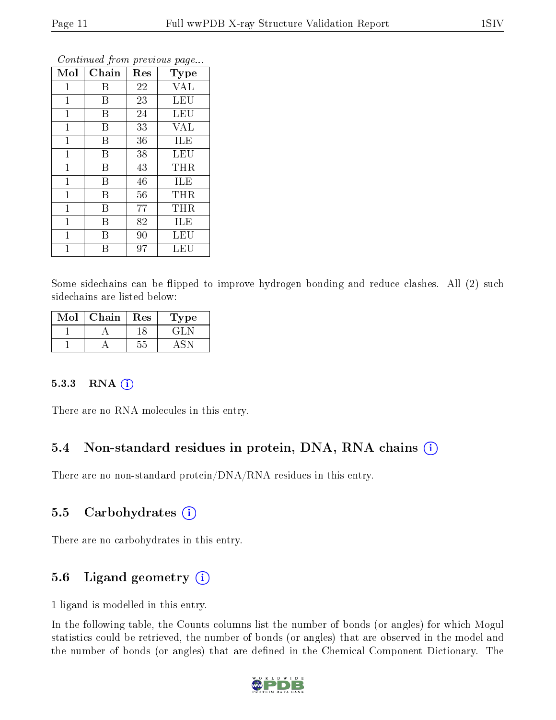| Mol            | Chain | Res | Type       |
|----------------|-------|-----|------------|
| $\mathbf 1$    | Β     | 22  | <b>VAL</b> |
| $\mathbf 1$    | B     | 23  | LEU        |
| $\mathbf 1$    | Β     | 24  | LEU        |
| $\mathbf 1$    | Β     | 33  | <b>VAL</b> |
| $\mathbf 1$    | B     | 36  | ILE        |
| $\mathbf 1$    | Β     | 38  | LEU        |
| $\mathbf{1}$   | B     | 43  | THR        |
| $\mathbf 1$    | B     | 46  | ILE        |
| $\mathbf 1$    | Β     | 56  | THR        |
| $\mathbf{1}$   | B     | 77  | THR        |
| $\mathbf 1$    | В     | 82  | ILE        |
| $\overline{1}$ | Β     | 90  | LEU        |
| 1              | В     | 97  | LEU        |

Continued from previous page...

Some sidechains can be flipped to improve hydrogen bonding and reduce clashes. All (2) such sidechains are listed below:

| Mol | Chain | Res | Type  |
|-----|-------|-----|-------|
|     |       |     | € ÷ L |
|     |       |     |       |

#### 5.3.3 RNA [O](https://www.wwpdb.org/validation/2017/XrayValidationReportHelp#rna)i

There are no RNA molecules in this entry.

## 5.4 Non-standard residues in protein, DNA, RNA chains (i)

There are no non-standard protein/DNA/RNA residues in this entry.

#### 5.5 Carbohydrates (i)

There are no carbohydrates in this entry.

### 5.6 Ligand geometry (i)

1 ligand is modelled in this entry.

In the following table, the Counts columns list the number of bonds (or angles) for which Mogul statistics could be retrieved, the number of bonds (or angles) that are observed in the model and the number of bonds (or angles) that are defined in the Chemical Component Dictionary. The

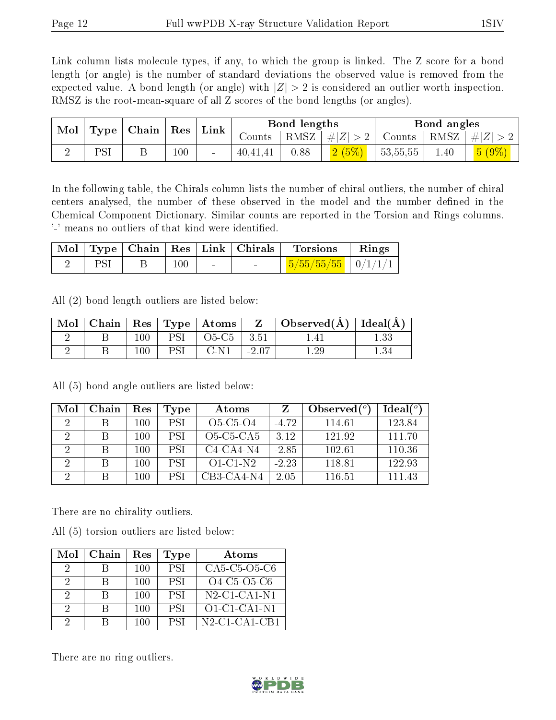Link column lists molecule types, if any, to which the group is linked. The Z score for a bond length (or angle) is the number of standard deviations the observed value is removed from the expected value. A bond length (or angle) with  $|Z| > 2$  is considered an outlier worth inspection. RMSZ is the root-mean-square of all Z scores of the bond lengths (or angles).

|  | Mol<br>Type   Chain   Res   Link |  |          |              |                    |                       | Bond lengths | Bond angles      |            |  |
|--|----------------------------------|--|----------|--------------|--------------------|-----------------------|--------------|------------------|------------|--|
|  |                                  |  | Counts ' | $+$ RMSZ $+$ | $\vert \#  Z  > 2$ | Counts   RMSZ $\vert$ |              | $7 + \#  Z  > 1$ |            |  |
|  | DCI                              |  | 100      | 40,41,41     | 0.88               | (2(5%)                | 53,55,55     | 1.40             | $(5 (9\%)$ |  |

In the following table, the Chirals column lists the number of chiral outliers, the number of chiral centers analysed, the number of these observed in the model and the number defined in the Chemical Component Dictionary. Similar counts are reported in the Torsion and Rings columns. '-' means no outliers of that kind were identified.

|  |     | $\text{Mol}$   Type   Chain   Res   Link   Chirals | Torsions                                | Rings |
|--|-----|----------------------------------------------------|-----------------------------------------|-------|
|  | 100 |                                                    | $\mid$ 5/55/55/55 $\mid$ 0/1/1/1 $\mid$ |       |

All (2) bond length outliers are listed below:

| Mol |     | $\mid$ Chain $\mid$ Res $\mid$ Type $\mid$ Atoms $\mid$ | Z       | Observed( $\AA$ )   Ideal( $\AA$ ) |  |
|-----|-----|---------------------------------------------------------|---------|------------------------------------|--|
|     | 100 | $O5-C5$                                                 | 3.51    |                                    |  |
|     | 100 | C-N1                                                    | $-2.07$ |                                    |  |

 $\text{Mol} \mid \text{Chain} \mid \text{Res} \mid \text{Type} \mid \quad \text{Atoms} \quad \mid \text{ Z } \mid \text{Observed}(^o)$ )  $\overline{}$  Ideal( $^o$ ) 2 | B | 100 | PSI | O5-C5-O4 | -4.72 | 114.61 | 123.84 2 | B | 100 | PSI | O5-C5-CA5 | 3.12 | 121.92 | 111.70 2 | B | 100 | PSI | C4-CA4-N4 | -2.85 | 102.61 | 110.36 2 B 100 PSI O1-C1-N2 -2.23 118.81 122.93 2 | B | 100 | PSI | CB3-CA4-N4 | 2.05 | 116.51 | 111.43

All (5) bond angle outliers are listed below:

There are no chirality outliers.

All (5) torsion outliers are listed below:

| Mol           | Chain | Res | Type       | Atoms                                                                         |
|---------------|-------|-----|------------|-------------------------------------------------------------------------------|
| $\mathcal{D}$ |       | 100 | <b>PSI</b> | CA5-C5-O5-C6                                                                  |
| 2             |       | 100 | <b>PSI</b> | O4-C5-O5-C6                                                                   |
| 2             | R     | 100 | <b>PSI</b> | $N2$ -C1-CA1-N1                                                               |
| 2             | R     | 100 | PSI.       | $O1$ -C1-CA1-N1                                                               |
| 9             |       | 100 | <b>PSI</b> | $N2$ -C <sub>1</sub> -C <sub>A</sub> <sub>1</sub> -C <sub>B<sub>1</sub></sub> |

There are no ring outliers.

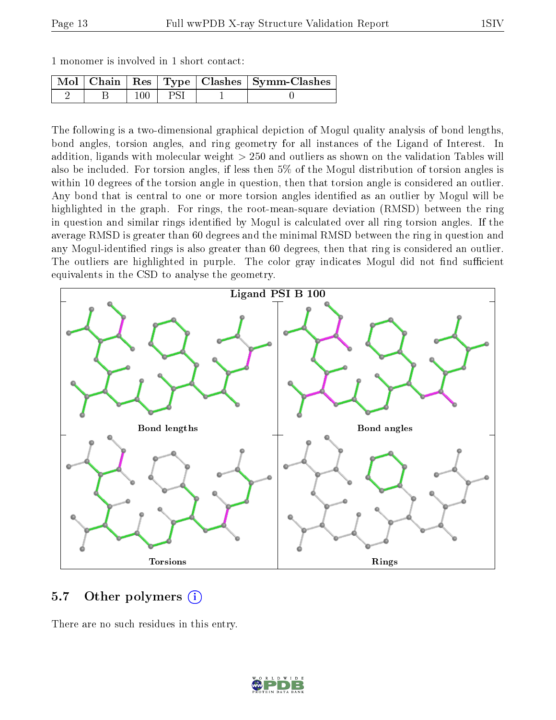|  | 1 monomer is involved in 1 short contact: |  |  |  |  |  |  |  |
|--|-------------------------------------------|--|--|--|--|--|--|--|
|--|-------------------------------------------|--|--|--|--|--|--|--|

|  |  | Mol   Chain   Res   Type   Clashes   Symm-Clashes |
|--|--|---------------------------------------------------|
|  |  |                                                   |

The following is a two-dimensional graphical depiction of Mogul quality analysis of bond lengths, bond angles, torsion angles, and ring geometry for all instances of the Ligand of Interest. In addition, ligands with molecular weight > 250 and outliers as shown on the validation Tables will also be included. For torsion angles, if less then 5% of the Mogul distribution of torsion angles is within 10 degrees of the torsion angle in question, then that torsion angle is considered an outlier. Any bond that is central to one or more torsion angles identified as an outlier by Mogul will be highlighted in the graph. For rings, the root-mean-square deviation (RMSD) between the ring in question and similar rings identified by Mogul is calculated over all ring torsion angles. If the average RMSD is greater than 60 degrees and the minimal RMSD between the ring in question and any Mogul-identified rings is also greater than 60 degrees, then that ring is considered an outlier. The outliers are highlighted in purple. The color gray indicates Mogul did not find sufficient equivalents in the CSD to analyse the geometry.



### 5.7 [O](https://www.wwpdb.org/validation/2017/XrayValidationReportHelp#nonstandard_residues_and_ligands)ther polymers (i)

There are no such residues in this entry.

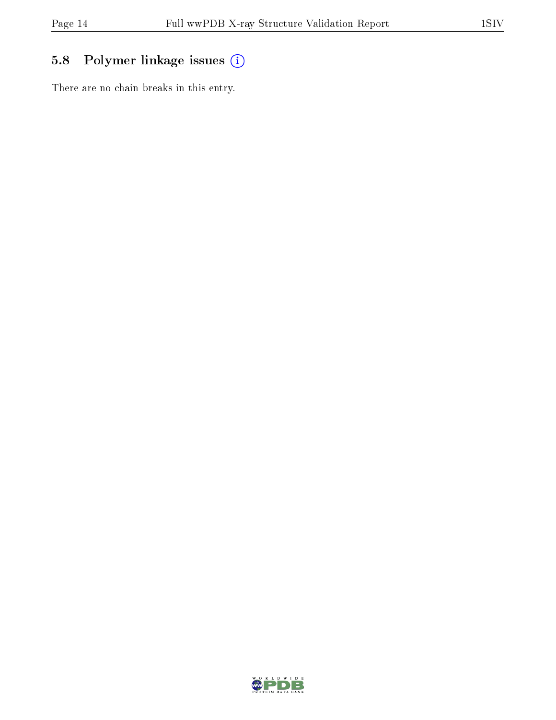# 5.8 Polymer linkage issues (i)

There are no chain breaks in this entry.